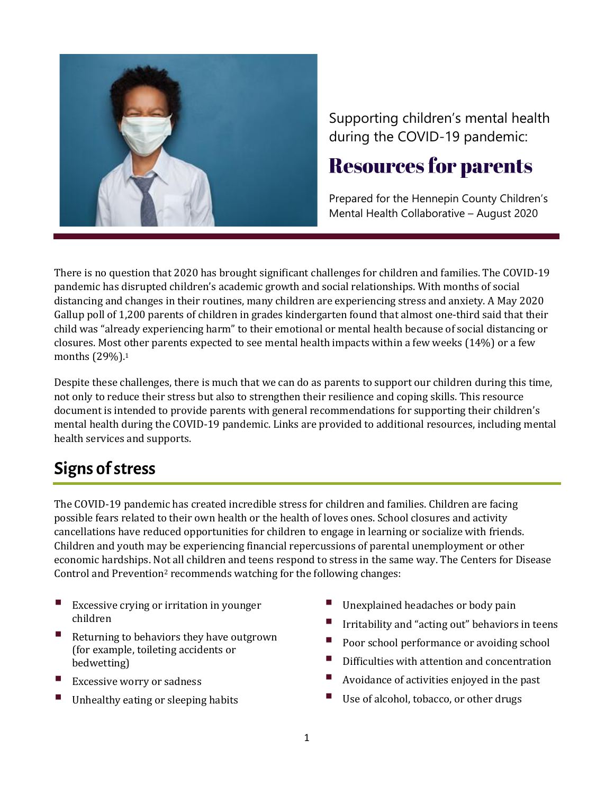

Supporting children's mental health during the COVID-19 pandemic:

# **Resources for parents**

Prepared for the Hennepin County Children's Mental Health Collaborative – August 2020

There is no question that 2020 has brought significant challenges for children and families. The COVID-19 pandemic has disrupted children's academic growth and social relationships. With months of social distancing and changes in their routines, many children are experiencing stress and anxiety. A May 2020 Gallup poll of 1,200 parents of children in grades kindergarten found that almost one-third said that their child was "already experiencing harm" to their emotional or mental health because of social distancing or closures. Most other parents expected to see mental health impacts within a few weeks (14%) or a few months (29%).<sup>1</sup>

Despite these challenges, there is much that we can do as parents to support our children during this time, not only to reduce their stress but also to strengthen their resilience and coping skills. This resource document is intended to provide parents with general recommendations for supporting their children's mental health during the COVID-19 pandemic. Links are provided to additional resources, including mental health services and supports.

## **Signs of stress**

The COVID-19 pandemic has created incredible stress for children and families. Children are facing possible fears related to their own health or the health of loves ones. School closures and activity cancellations have reduced opportunities for children to engage in learning or socialize with friends. Children and youth may be experiencing financial repercussions of parental unemployment or other economic hardships. Not all children and teens respond to stress in the same way. The Centers for Disease Control and Prevention<sup>2</sup> recommends watching for the following changes:

- Excessive crying or irritation in younger children
- Returning to behaviors they have outgrown (for example, toileting accidents or bedwetting)
- **Excessive worry or sadness**
- Unhealthy eating or sleeping habits
- Unexplained headaches or body pain
- Irritability and "acting out" behaviors in teens
- Poor school performance or avoiding school
- Difficulties with attention and concentration
- Avoidance of activities enjoyed in the past
- Use of alcohol, tobacco, or other drugs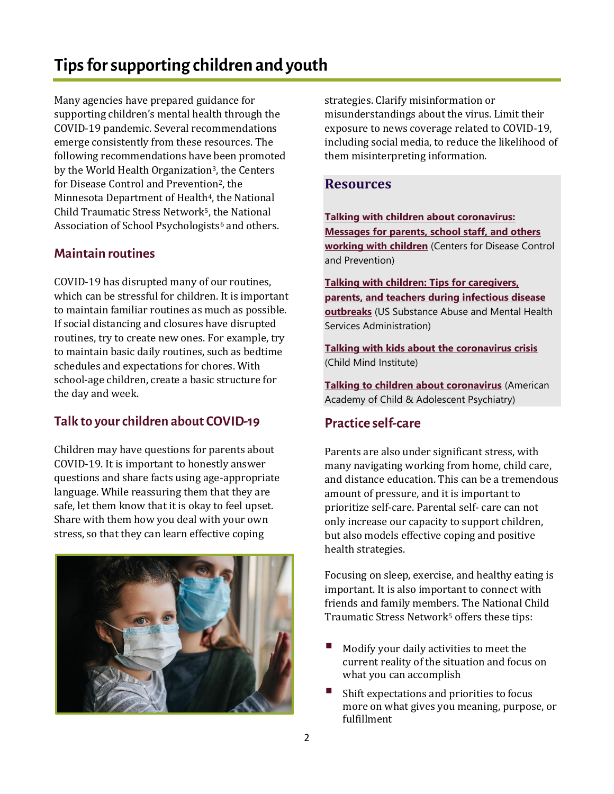# Tips for supporting children and youth

Many agencies have prepared guidance for supporting children's mental health through the COVID-19 pandemic. Several recommendations emerge consistently from these resources. The following recommendations have been promoted by the World Health Organization<sup>3</sup>, the Centers for Disease Control and Prevention<sup>2</sup>, the Minnesota Department of Health<sup>4</sup>, the National Child Traumatic Stress Network5, the National Association of School Psychologists<sup>6</sup> and others.

### **Maintain routines**

COVID-19 has disrupted many of our routines, which can be stressful for children. It is important to maintain familiar routines as much as possible. If social distancing and closures have disrupted routines, try to create new ones. For example, try to maintain basic daily routines, such as bedtime schedules and expectations for chores. With school-age children, create a basic structure for the day and week.

## Talk to your children about COVID-19

Children may have questions for parents about COVID-19. It is important to honestly answer questions and share facts using age-appropriate language. While reassuring them that they are safe, let them know that it is okay to feel upset. Share with them how you deal with your own stress, so that they can learn effective coping



strategies. Clarify misinformation or misunderstandings about the virus. Limit their exposure to news coverage related to COVID-19, including social media, to reduce the likelihood of them misinterpreting information.

#### **Resources**

**[Talking with children about coronavirus:](https://www.cdc.gov/coronavirus/2019-ncov/daily-life-coping/talking-with-children.html)  [Messages for parents, school staff, and others](https://www.cdc.gov/coronavirus/2019-ncov/daily-life-coping/talking-with-children.html)  [working with children](https://www.cdc.gov/coronavirus/2019-ncov/daily-life-coping/talking-with-children.html)** (Centers for Disease Control and Prevention)

**[Talking with children: Tips for caregivers,](https://store.samhsa.gov/sites/default/files/SAMHSA_Digital_Download/PEP20-01-01-006-508.pdf)  [parents, and teachers during infectious disease](https://store.samhsa.gov/sites/default/files/SAMHSA_Digital_Download/PEP20-01-01-006-508.pdf)  [outbreaks](https://store.samhsa.gov/sites/default/files/SAMHSA_Digital_Download/PEP20-01-01-006-508.pdf)** (US Substance Abuse and Mental Health Services Administration)

**[Talking with kids about the coronavirus crisis](https://childmind.org/article/talking-to-kids-about-the-coronavirus/)** (Child Mind Institute)

**[Talking to children about coronavirus](https://www.aacap.org/App_Themes/AACAP/Docs/latest_news/2020/Coronavirus_COVID19__Children.pdf)** (American Academy of Child & Adolescent Psychiatry)

#### **Practice self-care**

Parents are also under significant stress, with many navigating working from home, child care, and distance education. This can be a tremendous amount of pressure, and it is important to prioritize self-care. Parental self- care can not only increase our capacity to support children, but also models effective coping and positive health strategies.

Focusing on sleep, exercise, and healthy eating is important. It is also important to connect with friends and family members. The National Child Traumatic Stress Network<sup>5</sup> offers these tips:

- Modify your daily activities to meet the current reality of the situation and focus on what you can accomplish
- Shift expectations and priorities to focus more on what gives you meaning, purpose, or fulfillment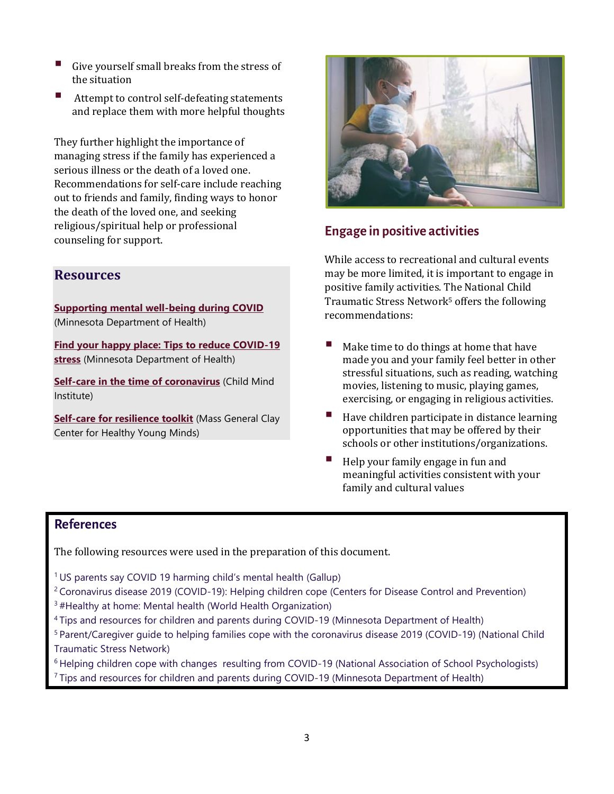- Give yourself small breaks from the stress of the situation
- Attempt to control self-defeating statements and replace them with more helpful thoughts

They further highlight the importance of managing stress if the family has experienced a serious illness or the death of a loved one. Recommendations for self-care include reaching out to friends and family, finding ways to honor the death of the loved one, and seeking religious/spiritual help or professional counseling for support.

## **Resources**

**[Supporting mental well-being during COVID](https://www.health.state.mn.us/communities/mentalhealth/support.html)** (Minnesota Department of Health)

**[Find your happy place: Tips to reduce COVID-19](https://www.health.state.mn.us/communities/ep/behavioral/anxiety.pdf)  [stress](https://www.health.state.mn.us/communities/ep/behavioral/anxiety.pdf)** (Minnesota Department of Health)

**[Self-care in the time of coronavirus](https://childmind.org/article/self-care-in-the-time-of-coronavirus/)** (Child Mind Institute)

**[Self-care for resilience toolkit](https://www.mghclaycenter.org/self-care/)** (Mass General Clay Center for Healthy Young Minds)



## **Engage in positive activities**

While access to recreational and cultural events may be more limited, it is important to engage in positive family activities. The National Child Traumatic Stress Network<sup>5</sup> offers the following recommendations:

- Make time to do things at home that have made you and your family feel better in other stressful situations, such as reading, watching movies, listening to music, playing games, exercising, or engaging in religious activities.
- Have children participate in distance learning opportunities that may be offered by their schools or other institutions/organizations.
- Help your family engage in fun and meaningful activities consistent with your family and cultural values

## **References**

The following resources were used in the preparation of this document.

<sup>1</sup> [US parents say COVID 19 harming child's mental health](https://news.gallup.com/poll/312605/parents-say-covid-harming-child-mental-health.aspx) (Gallup)

- <sup>2</sup> [Coronavirus disease 2019 \(COVID-19\): Helping children cope](https://www.cdc.gov/coronavirus/2019-ncov/daily-life-coping/for-parents.html) (Centers for Disease Control and Prevention)
- <sup>3</sup>[#Healthy at home: Mental health](https://www.who.int/campaigns/connecting-the-world-to-combat-coronavirus/healthyathome/healthyathome---mental-health?gclid=CjwKCAjw1ej5BRBhEiwAfHyh1BkGA3NNZVr4LLHgqNMB6UB34tHecVaaolpFG4QTF1VNny0xJLbm0BoCHUUQAvD_BwE) (World Health Organization)
- <sup>4</sup>[Tips and resources for children and parents during COVID-19](https://www.health.state.mn.us/communities/mentalhealth/children) (Minnesota Department of Health)
- <sup>5</sup> [Parent/Caregiver guide to helping families cope with the coronavirus disease 2019 \(COVID-19\)](https://www.nctsn.org/sites/default/files/resources/fact-sheet/parent_caregiver_guide_to_helping_families_cope_with_the_coronavirus_disease_2019_covid-19.pdf) (National Child Traumatic Stress Network)

<sup>6</sup> [Helping children cope with changes resulting from COVID-19](https://www.nasponline.org/resources-and-publications/resources-and-podcasts/school-climate-safety-and-crisis/health-crisis-resources/helping-children-cope-with-changes-resulting-from-covid-19) (National Association of School Psychologists) <sup>7</sup> [Tips and resources for children and parents during COVID-19](https://www.health.state.mn.us/communities/mentalhealth/children) (Minnesota Department of Health)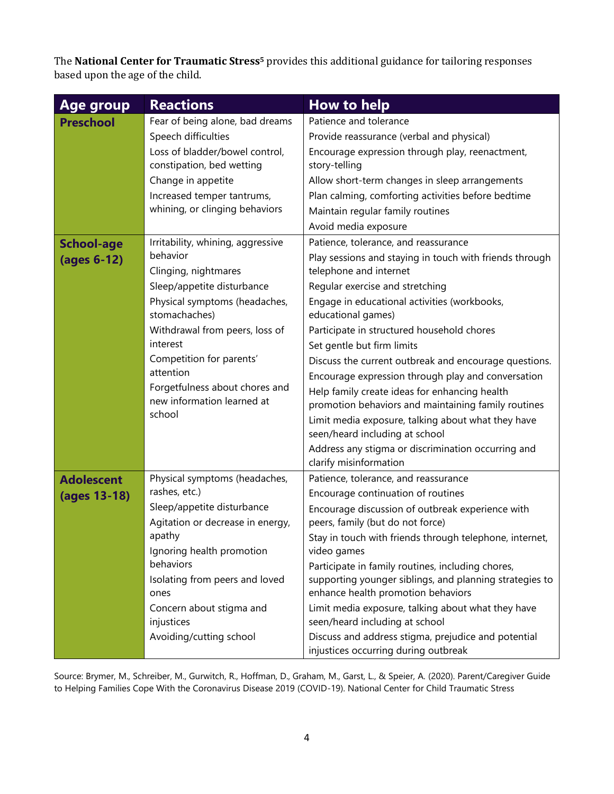The **National Center for Traumatic Stress<sup>5</sup>** provides this additional guidance for tailoring responses based upon the age of the child.

| <b>Age group</b>  | <b>Reactions</b>                               | <b>How to help</b>                                                                            |
|-------------------|------------------------------------------------|-----------------------------------------------------------------------------------------------|
| <b>Preschool</b>  | Fear of being alone, bad dreams                | Patience and tolerance                                                                        |
|                   | Speech difficulties                            | Provide reassurance (verbal and physical)                                                     |
|                   | Loss of bladder/bowel control,                 | Encourage expression through play, reenactment,                                               |
|                   | constipation, bed wetting                      | story-telling                                                                                 |
|                   | Change in appetite                             | Allow short-term changes in sleep arrangements                                                |
|                   | Increased temper tantrums,                     | Plan calming, comforting activities before bedtime                                            |
|                   | whining, or clinging behaviors                 | Maintain regular family routines                                                              |
|                   |                                                | Avoid media exposure                                                                          |
| <b>School-age</b> | Irritability, whining, aggressive              | Patience, tolerance, and reassurance                                                          |
| (ages 6-12)       | behavior                                       | Play sessions and staying in touch with friends through                                       |
|                   | Clinging, nightmares                           | telephone and internet                                                                        |
|                   | Sleep/appetite disturbance                     | Regular exercise and stretching                                                               |
|                   | Physical symptoms (headaches,<br>stomachaches) | Engage in educational activities (workbooks,<br>educational games)                            |
|                   | Withdrawal from peers, loss of                 | Participate in structured household chores                                                    |
|                   | interest                                       | Set gentle but firm limits                                                                    |
|                   | Competition for parents'                       | Discuss the current outbreak and encourage questions.                                         |
|                   | attention                                      | Encourage expression through play and conversation                                            |
|                   | Forgetfulness about chores and                 | Help family create ideas for enhancing health                                                 |
|                   | new information learned at                     | promotion behaviors and maintaining family routines                                           |
|                   | school                                         | Limit media exposure, talking about what they have<br>seen/heard including at school          |
|                   |                                                | Address any stigma or discrimination occurring and<br>clarify misinformation                  |
| <b>Adolescent</b> | Physical symptoms (headaches,                  | Patience, tolerance, and reassurance                                                          |
| (ages 13-18)      | rashes, etc.)                                  | Encourage continuation of routines                                                            |
|                   | Sleep/appetite disturbance                     | Encourage discussion of outbreak experience with                                              |
|                   | Agitation or decrease in energy,               | peers, family (but do not force)                                                              |
|                   | apathy                                         | Stay in touch with friends through telephone, internet,                                       |
|                   | Ignoring health promotion                      | video games                                                                                   |
|                   | behaviors                                      | Participate in family routines, including chores,                                             |
|                   | Isolating from peers and loved<br>ones         | supporting younger siblings, and planning strategies to<br>enhance health promotion behaviors |
|                   | Concern about stigma and                       | Limit media exposure, talking about what they have                                            |
|                   | injustices                                     | seen/heard including at school                                                                |
|                   | Avoiding/cutting school                        | Discuss and address stigma, prejudice and potential<br>injustices occurring during outbreak   |

Source: Brymer, M., Schreiber, M., Gurwitch, R., Hoffman, D., Graham, M., Garst, L., & Speier, A. (2020). Parent/Caregiver Guide to Helping Families Cope With the Coronavirus Disease 2019 (COVID-19). National Center for Child Traumatic Stress